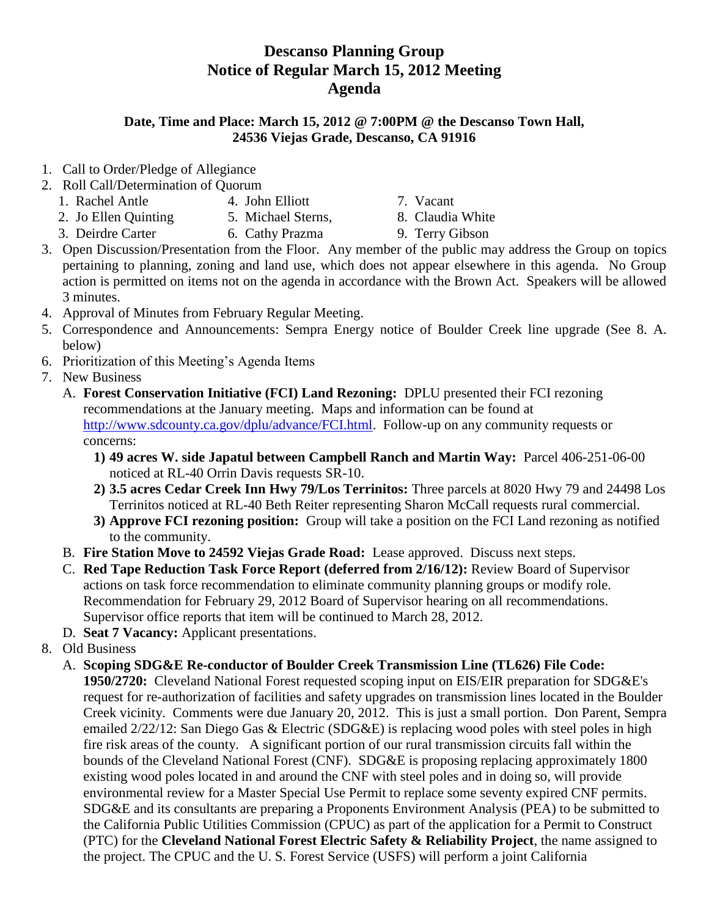## **Descanso Planning Group Notice of Regular March 15, 2012 Meeting Agenda**

## **Date, Time and Place: March 15, 2012 @ 7:00PM @ the Descanso Town Hall, 24536 Viejas Grade, Descanso, CA 91916**

- 1. Call to Order/Pledge of Allegiance
- 2. Roll Call/Determination of Quorum
	- 1. Rachel Antle 4. John Elliott 7. Vacant
	- 2. Jo Ellen Quinting 5. Michael Sterns, 8. Claudia White
- -
	- 3. Deirdre Carter 6. Cathy Prazma 9. Terry Gibson
- 3. Open Discussion/Presentation from the Floor. Any member of the public may address the Group on topics pertaining to planning, zoning and land use, which does not appear elsewhere in this agenda. No Group action is permitted on items not on the agenda in accordance with the Brown Act. Speakers will be allowed 3 minutes.
- 4. Approval of Minutes from February Regular Meeting.
- 5. Correspondence and Announcements: Sempra Energy notice of Boulder Creek line upgrade (See 8. A. below)
- 6. Prioritization of this Meeting's Agenda Items
- 7. New Business
	- A. **Forest Conservation Initiative (FCI) Land Rezoning:** DPLU presented their FCI rezoning recommendations at the January meeting. Maps and information can be found at [http://www.sdcounty.ca.gov/dplu/advance/FCI.html.](http://www.sdcounty.ca.gov/dplu/advance/FCI.html) Follow-up on any community requests or concerns:
		- **1) 49 acres W. side Japatul between Campbell Ranch and Martin Way:** Parcel 406-251-06-00 noticed at RL-40 Orrin Davis requests SR-10.
		- **2) 3.5 acres Cedar Creek Inn Hwy 79/Los Terrinitos:** Three parcels at 8020 Hwy 79 and 24498 Los Terrinitos noticed at RL-40 Beth Reiter representing Sharon McCall requests rural commercial.
		- **3) Approve FCI rezoning position:** Group will take a position on the FCI Land rezoning as notified to the community.
	- B. **Fire Station Move to 24592 Viejas Grade Road:** Lease approved. Discuss next steps.
	- C. **Red Tape Reduction Task Force Report (deferred from 2/16/12):** Review Board of Supervisor actions on task force recommendation to eliminate community planning groups or modify role. Recommendation for February 29, 2012 Board of Supervisor hearing on all recommendations. Supervisor office reports that item will be continued to March 28, 2012.
	- D. **Seat 7 Vacancy:** Applicant presentations.
- 8. Old Business
	- A. **Scoping SDG&E Re-conductor of Boulder Creek Transmission Line (TL626) File Code: 1950/2720:** Cleveland National Forest requested scoping input on EIS/EIR preparation for SDG&E's request for re-authorization of facilities and safety upgrades on transmission lines located in the Boulder Creek vicinity. Comments were due January 20, 2012. This is just a small portion. Don Parent, Sempra emailed 2/22/12: San Diego Gas & Electric (SDG&E) is replacing wood poles with steel poles in high fire risk areas of the county. A significant portion of our rural transmission circuits fall within the bounds of the Cleveland National Forest (CNF). SDG&E is proposing replacing approximately 1800 existing wood poles located in and around the CNF with steel poles and in doing so, will provide environmental review for a Master Special Use Permit to replace some seventy expired CNF permits. SDG&E and its consultants are preparing a Proponents Environment Analysis (PEA) to be submitted to the California Public Utilities Commission (CPUC) as part of the application for a Permit to Construct (PTC) for the **Cleveland National Forest Electric Safety & Reliability Project**, the name assigned to the project. The CPUC and the U. S. Forest Service (USFS) will perform a joint California